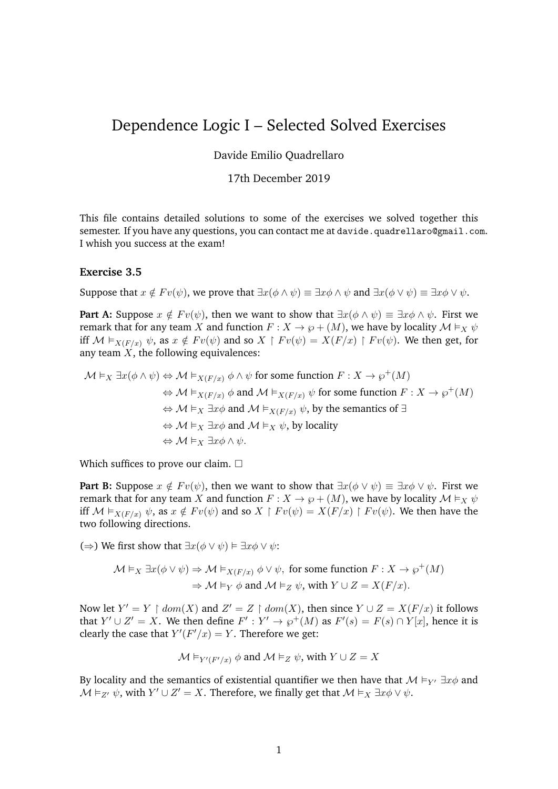# Dependence Logic I – Selected Solved Exercises

## Davide Emilio Quadrellaro

## 17th December 2019

This file contains detailed solutions to some of the exercises we solved together this semester. If you have any questions, you can contact me at davide.quadrellaro@gmail.com. I whish you success at the exam!

## **Exercise 3.5**

Suppose that  $x \notin F v(\psi)$ , we prove that  $\exists x(\phi \land \psi) \equiv \exists x \phi \land \psi$  and  $\exists x(\phi \lor \psi) \equiv \exists x \phi \lor \psi$ .

**Part A:** Suppose  $x \notin Fv(\psi)$ , then we want to show that  $\exists x(\phi \land \psi) \equiv \exists x \phi \land \psi$ . First we remark that for any team X and function  $F: X \to \wp + (M)$ , we have by locality  $\mathcal{M} \vDash_X \psi$ iff  $M \vDash_{X(F/x)} \psi$ , as  $x \notin Fv(\psi)$  and so  $X \upharpoonright Fv(\psi) = X(F/x) \upharpoonright Fv(\psi)$ . We then get, for any team  $\overline{X}$ , the following equivalences:

$$
\mathcal{M} \vDash_X \exists x (\phi \land \psi) \Leftrightarrow \mathcal{M} \vDash_{X(F/x)} \phi \land \psi \text{ for some function } F : X \to \wp^+(M)
$$
  
\n
$$
\Leftrightarrow \mathcal{M} \vDash_{X(F/x)} \phi \text{ and } \mathcal{M} \vDash_{X(F/x)} \psi \text{ for some function } F : X \to \wp^+(M)
$$
  
\n
$$
\Leftrightarrow \mathcal{M} \vDash_X \exists x \phi \text{ and } \mathcal{M} \vDash_{X(F/x)} \psi, \text{ by the semantics of } \exists
$$
  
\n
$$
\Leftrightarrow \mathcal{M} \vDash_X \exists x \phi \text{ and } \mathcal{M} \vDash_X \psi, \text{ by locality}
$$
  
\n
$$
\Leftrightarrow \mathcal{M} \vDash_X \exists x \phi \land \psi.
$$

Which suffices to prove our claim.  $\square$ 

**Part B:** Suppose  $x \notin Fv(\psi)$ , then we want to show that  $\exists x(\phi \lor \psi) \equiv \exists x \phi \lor \psi$ . First we remark that for any team X and function  $F: X \to \wp + (M)$ , we have by locality  $M \vDash_X \psi$ iff  $M \vDash_{X(F/x)} \psi$ , as  $x \notin Fv(\psi)$  and so  $X \upharpoonright Fv(\psi) = X(F/x) \upharpoonright Fv(\psi)$ . We then have the two following directions.

(⇒) We first show that  $\exists x(\phi \lor \psi) \vDash \exists x \phi \lor \psi$ :

$$
\mathcal{M} \vDash_X \exists x (\phi \lor \psi) \Rightarrow \mathcal{M} \vDash_{X(F/x)} \phi \lor \psi, \text{ for some function } F : X \to \wp^+(M)
$$

$$
\Rightarrow \mathcal{M} \vDash_Y \phi \text{ and } \mathcal{M} \vDash_Z \psi, \text{ with } Y \cup Z = X(F/x).
$$

Now let  $Y' = Y \restriction dom(X)$  and  $Z' = Z \restriction dom(X)$ , then since  $Y \cup Z = X(F/x)$  it follows that  $Y' \cup Z' = X$ . We then define  $F' : Y' \to \wp^+(M)$  as  $F'(s) = F(s) \cap Y[x]$ , hence it is clearly the case that  $Y'(F'/x) = Y$ . Therefore we get:

$$
\mathcal{M} \vDash_{Y'(F'/x)} \phi
$$
 and  $\mathcal{M} \vDash_Z \psi$ , with  $Y \cup Z = X$ 

By locality and the semantics of existential quantifier we then have that  $\mathcal{M} \models_{Y'} \exists x \phi$  and  $\mathcal{M} \vDash_{Z'} \psi$ , with  $Y' \cup Z' = X$ . Therefore, we finally get that  $\mathcal{M} \vDash_X \exists x \phi \vee \psi$ .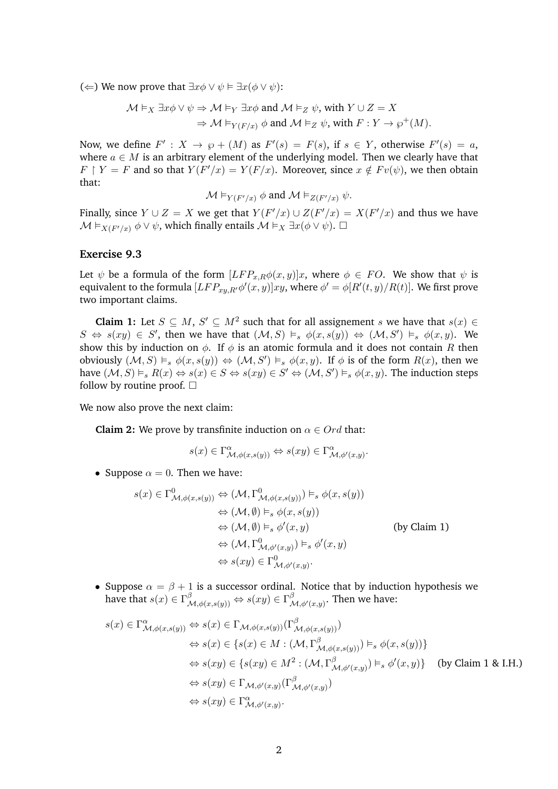(∈) We now prove that  $\exists x \phi \lor \psi \models \exists x (\phi \lor \psi)$ :

$$
\mathcal{M} \vDash_X \exists x \phi \lor \psi \Rightarrow \mathcal{M} \vDash_Y \exists x \phi \text{ and } \mathcal{M} \vDash_Z \psi, \text{ with } Y \cup Z = X
$$

$$
\Rightarrow \mathcal{M} \vDash_{Y(F/x)} \phi \text{ and } \mathcal{M} \vDash_Z \psi, \text{ with } F: Y \to \wp^+(M).
$$

Now, we define  $F' : X \to \wp + (M)$  as  $F'(s) = F(s)$ , if  $s \in Y$ , otherwise  $F'(s) = a$ , where  $a \in M$  is an arbitrary element of the underlying model. Then we clearly have that  $F \restriction Y = F$  and so that  $Y(F'/x) = Y(F/x)$ . Moreover, since  $x \notin Fv(\psi)$ , we then obtain that:

$$
\mathcal{M} \vDash_{Y(F'/x)} \phi
$$
 and  $\mathcal{M} \vDash_{Z(F'/x)} \psi$ .

Finally, since  $Y \cup Z = X$  we get that  $Y(F'/x) \cup Z(F'/x) = X(F'/x)$  and thus we have  $\mathcal{M} \vDash_{X(F'/x)} \phi \vee \psi$ , which finally entails  $\mathcal{M} \vDash_{X} \exists x (\phi \vee \psi)$ .  $\Box$ 

# **Exercise 9.3**

Let  $\psi$  be a formula of the form  $[LFP_{x,R}\phi(x,y)]x$ , where  $\phi \in FO$ . We show that  $\psi$  is equivalent to the formula  $[LFP_{xy,R'}\phi'(x,y)]xy$ , where  $\phi' = \phi[R'(t,y)/R(t)]$ . We first prove two important claims.

**Claim 1:** Let  $S \subseteq M$ ,  $S' \subseteq M^2$  such that for all assignement s we have that  $s(x) \in$  $S \Leftrightarrow s(xy) \in S'$ , then we have that  $(M, S) \models_s \phi(x, s(y)) \Leftrightarrow (M, S') \models_s \phi(x, y)$ . We show this by induction on  $\phi$ . If  $\phi$  is an atomic formula and it does not contain R then obviously  $(M, S) \vDash_s \phi(x, s(y)) \Leftrightarrow (M, S') \vDash_s \phi(x, y)$ . If  $\phi$  is of the form  $R(x)$ , then we have  $(M, S) \vDash_s R(x) \Leftrightarrow s(x) \in S \Leftrightarrow s(xy) \in S' \Leftrightarrow (M, S') \vDash_s \phi(x, y)$ . The induction steps follow by routine proof.  $\square$ 

We now also prove the next claim:

**Claim 2:** We prove by transfinite induction on  $\alpha \in Ord$  that:

$$
s(x) \in \Gamma^{\alpha}_{\mathcal{M}, \phi(x, s(y))} \Leftrightarrow s(xy) \in \Gamma^{\alpha}_{\mathcal{M}, \phi'(x, y)}.
$$

• Suppose  $\alpha = 0$ . Then we have:

$$
s(x) \in \Gamma^0_{\mathcal{M},\phi(x,s(y))} \Leftrightarrow (\mathcal{M},\Gamma^0_{\mathcal{M},\phi(x,s(y))}) \vDash_s \phi(x,s(y))
$$
  
\n
$$
\Leftrightarrow (\mathcal{M},\emptyset) \vDash_s \phi(x,s(y))
$$
  
\n
$$
\Leftrightarrow (\mathcal{M},\emptyset) \vDash_s \phi'(x,y)
$$
  
\n
$$
\Leftrightarrow (\mathcal{M},\Gamma^0_{\mathcal{M},\phi'(x,y)}) \vDash_s \phi'(x,y)
$$
  
\n
$$
\Leftrightarrow s(xy) \in \Gamma^0_{\mathcal{M},\phi'(x,y)}.
$$
  
\n(by Claim 1)

• Suppose  $\alpha = \beta + 1$  is a successor ordinal. Notice that by induction hypothesis we have that  $s(x) \in \Gamma_{\mathcal{M},\phi(x,s(y))}^{\beta} \Leftrightarrow s(xy) \in \Gamma_{\mathcal{M}}^{\beta}$  $^{\rho}{}_{\mathcal{M},\phi'(x,y)}$ . Then we have:

$$
s(x) \in \Gamma^{\alpha}_{\mathcal{M},\phi(x,s(y))} \Leftrightarrow s(x) \in \Gamma_{\mathcal{M},\phi(x,s(y))}(\Gamma^{\beta}_{\mathcal{M},\phi(x,s(y))})
$$
  
\n
$$
\Leftrightarrow s(x) \in \{s(x) \in M : (\mathcal{M}, \Gamma^{\beta}_{\mathcal{M},\phi(x,s(y))}) \models_s \phi(x,s(y))\}
$$
  
\n
$$
\Leftrightarrow s(xy) \in \{s(xy) \in M^2 : (\mathcal{M}, \Gamma^{\beta}_{\mathcal{M},\phi'(x,y)}) \models_s \phi'(x,y)\} \text{ (by Claim 1 & H.)}
$$
  
\n
$$
\Leftrightarrow s(xy) \in \Gamma_{\mathcal{M},\phi'(x,y)}(\Gamma^{\beta}_{\mathcal{M},\phi'(x,y)})
$$
  
\n
$$
\Leftrightarrow s(xy) \in \Gamma^{\alpha}_{\mathcal{M},\phi'(x,y)}.
$$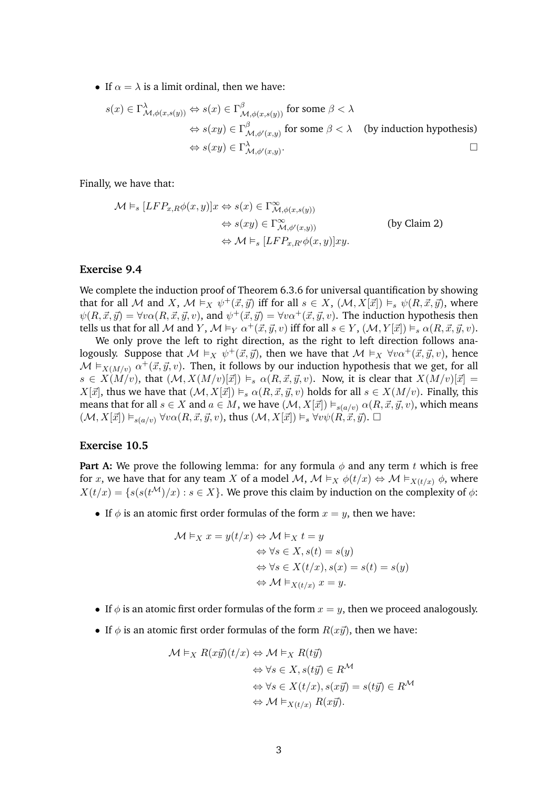• If  $\alpha = \lambda$  is a limit ordinal, then we have:

$$
s(x) \in \Gamma^{\lambda}_{\mathcal{M},\phi(x,s(y))} \Leftrightarrow s(x) \in \Gamma^{\beta}_{\mathcal{M},\phi(x,s(y))} \text{ for some } \beta < \lambda
$$
  
\n
$$
\Leftrightarrow s(xy) \in \Gamma^{\beta}_{\mathcal{M},\phi'(x,y)} \text{ for some } \beta < \lambda \quad \text{(by induction hypothesis)}
$$
  
\n
$$
\Leftrightarrow s(xy) \in \Gamma^{\lambda}_{\mathcal{M},\phi'(x,y)}.
$$

Finally, we have that:

$$
\mathcal{M} \vDash_{s} [LFP_{x,R}\phi(x,y)]x \Leftrightarrow s(x) \in \Gamma^{\infty}_{\mathcal{M},\phi(x,s(y))}
$$
  
\n
$$
\Leftrightarrow s(xy) \in \Gamma^{\infty}_{\mathcal{M},\phi'(x,y))}
$$
 (by Claim 2)  
\n
$$
\Leftrightarrow \mathcal{M} \vDash_{s} [LFP_{x,R'}\phi(x,y)]xy.
$$

## **Exercise 9.4**

We complete the induction proof of Theorem 6.3.6 for universal quantification by showing that for all M and X,  $\mathcal{M} \vDash_X \psi^+(\vec{x}, \vec{y})$  iff for all  $s \in X$ ,  $(\mathcal{M}, X[\vec{x}]) \vDash_s \psi(R, \vec{x}, \vec{y})$ , where  $\psi(R, \vec{x}, \vec{y}) = \forall v \alpha(R, \vec{x}, \vec{y}, v)$ , and  $\psi^+(\vec{x}, \vec{y}) = \forall v \alpha^+(\vec{x}, \vec{y}, v)$ . The induction hypothesis then tells us that for all M and Y,  $\mathcal{M} \models_Y \alpha^+ (\vec{x}, \vec{y}, v)$  iff for all  $s \in Y$ ,  $(\mathcal{M}, Y[\vec{x}]) \models_s \alpha(R, \vec{x}, \vec{y}, v)$ .

We only prove the left to right direction, as the right to left direction follows analogously. Suppose that  $\mathcal{M} \models_X \psi^+(\vec{x}, \vec{y})$ , then we have that  $\mathcal{M} \models_X \forall v \alpha^+(\vec{x}, \vec{y}, v)$ , hence  $\mathcal{M} \vDash_{X(M/v)} \alpha^+ (\vec{x}, \vec{y}, v)$ . Then, it follows by our induction hypothesis that we get, for all  $s \in X(M/v)$ , that  $(M, X(M/v)[\vec{x}]) \models_s \alpha(R, \vec{x}, \vec{y}, v)$ . Now, it is clear that  $X(M/v)[\vec{x}] =$  $X[\vec{x}]$ , thus we have that  $(\mathcal{M}, X[\vec{x}]) \models_s \alpha(R, \vec{x}, \vec{y}, v)$  holds for all  $s \in X(M/v)$ . Finally, this means that for all  $s \in X$  and  $a \in M$ , we have  $(\mathcal{M}, X[\vec{x}]) \models_{s(a/v)} \alpha(R, \vec{x}, \vec{y}, v)$ , which means  $(\mathcal{M}, X[\vec{x}]) \models_{s(a/v)} \forall v \alpha(R, \vec{x}, \vec{y}, v)$ , thus  $(\mathcal{M}, X[\vec{x}]) \models_s \forall v \psi(R, \vec{x}, \vec{y})$ .

## **Exercise 10.5**

**Part A:** We prove the following lemma: for any formula  $\phi$  and any term t which is free for x, we have that for any team X of a model M,  $\mathcal{M} \vDash_X \phi(t/x) \Leftrightarrow \mathcal{M} \vDash_{X(t/x)} \phi$ , where  $X(t/x) = \{s(s(t^{\mathcal{M}})/x) : s \in X\}$ . We prove this claim by induction on the complexity of  $\phi$ :

• If  $\phi$  is an atomic first order formulas of the form  $x = y$ , then we have:

$$
\mathcal{M} \vDash_X x = y(t/x) \Leftrightarrow \mathcal{M} \vDash_X t = y
$$
  
\n
$$
\Leftrightarrow \forall s \in X, s(t) = s(y)
$$
  
\n
$$
\Leftrightarrow \forall s \in X(t/x), s(x) = s(t) = s(y)
$$
  
\n
$$
\Leftrightarrow \mathcal{M} \vDash_{X(t/x)} x = y.
$$

- If  $\phi$  is an atomic first order formulas of the form  $x = y$ , then we proceed analogously.
- If  $\phi$  is an atomic first order formulas of the form  $R(x\vec{y})$ , then we have:

$$
\mathcal{M} \vDash_{X} R(x\vec{y})(t/x) \Leftrightarrow \mathcal{M} \vDash_{X} R(t\vec{y})
$$

$$
\Leftrightarrow \forall s \in X, s(t\vec{y}) \in R^{\mathcal{M}}
$$

$$
\Leftrightarrow \forall s \in X(t/x), s(x\vec{y}) = s(t\vec{y}) \in R^{\mathcal{M}}
$$

$$
\Leftrightarrow \mathcal{M} \vDash_{X(t/x)} R(x\vec{y}).
$$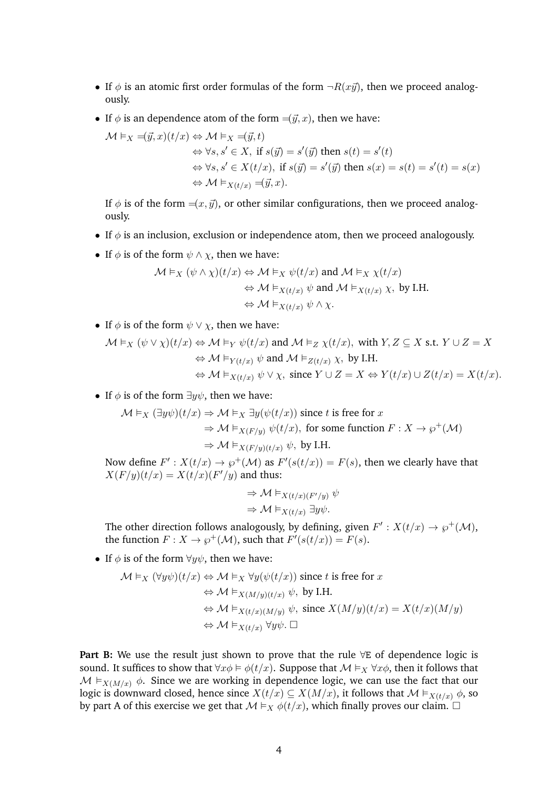- If  $\phi$  is an atomic first order formulas of the form  $\neg R(x\vec{y})$ , then we proceed analogously.
- If  $\phi$  is an dependence atom of the form  $=(\vec{y}, x)$ , then we have:

$$
\mathcal{M} \vDash_X \preceq(\vec{y}, x)(t/x) \Leftrightarrow \mathcal{M} \vDash_X \preceq(\vec{y}, t)
$$
  
\n
$$
\Leftrightarrow \forall s, s' \in X, \text{ if } s(\vec{y}) = s'(\vec{y}) \text{ then } s(t) = s'(t)
$$
  
\n
$$
\Leftrightarrow \forall s, s' \in X(t/x), \text{ if } s(\vec{y}) = s'(\vec{y}) \text{ then } s(x) = s(t) = s'(t) = s(x)
$$
  
\n
$$
\Leftrightarrow \mathcal{M} \vDash_{X(t/x)} \preceq(\vec{y}, x).
$$

If  $\phi$  is of the form  $=(x, \vec{y})$ , or other similar configurations, then we proceed analogously.

- If  $\phi$  is an inclusion, exclusion or independence atom, then we proceed analogously.
- If  $\phi$  is of the form  $\psi \wedge \chi$ , then we have:

$$
\mathcal{M} \vDash_X (\psi \land \chi)(t/x) \Leftrightarrow \mathcal{M} \vDash_X \psi(t/x) \text{ and } \mathcal{M} \vDash_X \chi(t/x)
$$

$$
\Leftrightarrow \mathcal{M} \vDash_{X(t/x)} \psi \text{ and } \mathcal{M} \vDash_{X(t/x)} \chi, \text{ by I.H.}
$$

$$
\Leftrightarrow \mathcal{M} \vDash_{X(t/x)} \psi \land \chi.
$$

• If  $\phi$  is of the form  $\psi \vee \chi$ , then we have:

$$
\begin{aligned}\mathcal{M}\vDash_{X}(\psi\vee\chi)(t/x)&\Leftrightarrow \mathcal{M}\vDash_{Y}\psi(t/x)\text{ and }\mathcal{M}\vDash_{Z}\chi(t/x),\text{ with }Y,Z\subseteq X\text{ s.t. }Y\cup Z=X\\ &\Leftrightarrow \mathcal{M}\vDash_{Y(t/x)}\psi\text{ and }\mathcal{M}\vDash_{Z(t/x)}\chi,\text{ by I.H.}\\ &\Leftrightarrow \mathcal{M}\vDash_{X(t/x)}\psi\vee\chi,\text{ since }Y\cup Z=X\Leftrightarrow Y(t/x)\cup Z(t/x)=X(t/x).\end{aligned}
$$

• If  $\phi$  is of the form  $\exists y \psi$ , then we have:

 $\mathcal{M} \vDash_X (\exists y \psi)(t/x) \Rightarrow \mathcal{M} \vDash_X \exists y (\psi(t/x))$  since t is free for x  $\Rightarrow$   $\mathcal{M} \models_{X(F/y)} \psi(t/x)$ , for some function  $F : X \to \wp^+(\mathcal{M})$  $\Rightarrow$  M  $\models$ <sub>X(F/y)(t/x)</sub>  $\psi$ , by I.H.

Now define  $F': X(t/x) \to \wp^+(\mathcal{M})$  as  $F'(s(t/x)) = F(s)$ , then we clearly have that  $X(F/y)(t/x) = X(t/x)(F'/y)$  and thus:

$$
\Rightarrow \mathcal{M} \vDash_{X(t/x)(F'/y)} \psi
$$

$$
\Rightarrow \mathcal{M} \vDash_{X(t/x)} \exists y \psi.
$$

The other direction follows analogously, by defining, given  $F': X(t/x) \to \wp^+(\mathcal{M})$ , the function  $F: X \to \wp^+(\mathcal{M})$ , such that  $F'(s(t/x)) = F(s)$ .

• If  $\phi$  is of the form  $\forall y \psi$ , then we have:

$$
\mathcal{M} \vDash_X (\forall y \psi)(t/x) \Leftrightarrow \mathcal{M} \vDash_X \forall y (\psi(t/x)) \text{ since } t \text{ is free for } x
$$
  
\n
$$
\Leftrightarrow \mathcal{M} \vDash_{X(M/y)(t/x)} \psi, \text{ by I.H.}
$$
  
\n
$$
\Leftrightarrow \mathcal{M} \vDash_{X(t/x)(M/y)} \psi, \text{ since } X(M/y)(t/x) = X(t/x)(M/y)
$$
  
\n
$$
\Leftrightarrow \mathcal{M} \vDash_{X(t/x)} \forall y \psi. \Box
$$

**Part B:** We use the result just shown to prove that the rule ∀E of dependence logic is sound. It suffices to show that  $\forall x \phi \models \phi(t/x)$ . Suppose that  $\mathcal{M} \models_X \forall x \phi$ , then it follows that  $M \vDash_{X(M/x)} \phi$ . Since we are working in dependence logic, we can use the fact that our logic is downward closed, hence since  $X(t/x) \subseteq X(M/x)$ , it follows that  $\mathcal{M} \vDash_{X(t/x)} \phi$ , so by part A of this exercise we get that  $M \vDash_X \phi(t/x)$ , which finally proves our claim.  $\Box$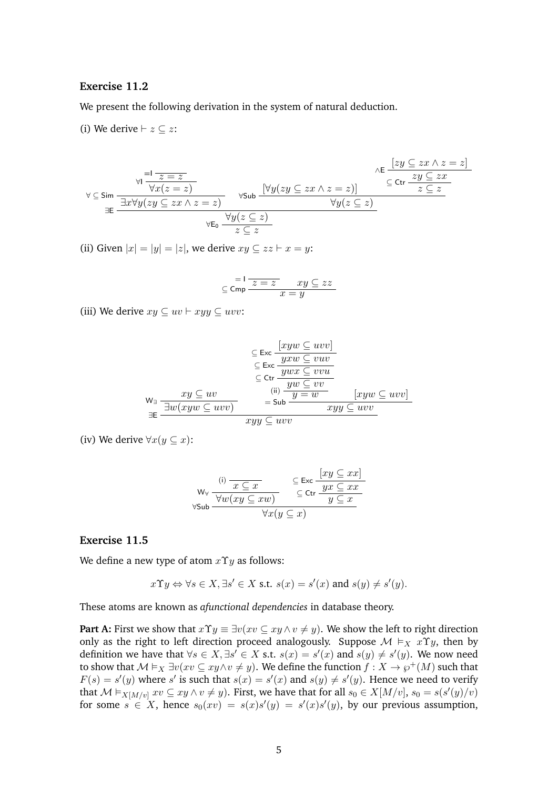## **Exercise 11.2**

We present the following derivation in the system of natural deduction.

(i) We derive  $\vdash z \subseteq z$ :

$$
\forall \underline{c} \underline{\text{Sim}} \frac{\forall i \frac{1}{z = z}}{\exists x \forall y (zy \subseteq zx \land z = z)} \qquad \forall \underline{\text{Sub}} \frac{[\forall y (zy \subseteq zx \land z = z)]}{\forall y (z \subseteq z)} \frac{\land E \frac{[zy \subseteq zx \land z = z]}{z \subseteq z}}{\forall y (z \subseteq z)} \qquad \forall y (z \subseteq z) \qquad \forall y (z \subseteq z) \qquad \forall \underline{c} \in \mathbb{Z}
$$

(ii) Given  $|x| = |y| = |z|$ , we derive  $xy \subseteq zz \vdash x = y$ :

$$
\subseteq \mathsf{Cmp} \frac{\mathsf{I} \mathsf{I} \mathsf{I} \mathsf{z} = \mathsf{z} \mathsf{I} \mathsf{z} \mathsf{z} \mathsf{z}}{\mathsf{z} \mathsf{I} \mathsf{z} \mathsf{I} \mathsf{z} \mathsf{I}}
$$

(iii) We derive  $xy \subseteq uv \vdash xyy \subseteq uvv$ :

$$
\subseteq \text{Exc } \frac{[xyw \subseteq uvv]}{\subseteq \text{Exc } \frac{y x w \subseteq v uv}{y w x \subseteq v v u}} \subseteq \text{ctr } \frac{y x w \subseteq v v v}{\subseteq \text{ctr } \frac{y w \subseteq v v}{y w \subseteq v v}} \text{ [xyw \subseteq uvv]}
$$
\n
$$
\exists \text{E} \frac{\exists w (xyw \subseteq uvv)}{\exists w y \subseteq uvv} \text{ [xyw \subseteq uvv]}
$$

(iv) We derive  $\forall x(y \subseteq x)$ :

$$
\mathsf{W}_{\forall} \ \frac{\text{(i)}\ \frac{x \subseteq x}{x \subseteq x \quad \qquad } \subseteq \text{Exc} \ \frac{[xy \subseteq xx]}{\subseteq \text{Ctr} \ \frac{yx \subseteq xx}{y \subseteq x \quad \qquad }}}{\forall x (y \subseteq x)}
$$

## **Exercise 11.5**

We define a new type of atom  $x \Upsilon y$  as follows:

$$
x\Upsilon y \Leftrightarrow \forall s \in X, \exists s' \in X \text{ s.t. } s(x) = s'(x) \text{ and } s(y) \neq s'(y).
$$

These atoms are known as *afunctional dependencies* in database theory.

**Part A:** First we show that  $x \Upsilon y \equiv \exists v (xv \subseteq xy \land v \neq y)$ . We show the left to right direction only as the right to left direction proceed analogously. Suppose  $\mathcal{M} \models_X x \Upsilon y$ , then by definition we have that  $\forall s \in X, \exists s' \in X$  s.t.  $s(x) = s'(x)$  and  $s(y) \neq s'(y)$ . We now need to show that  $\mathcal{M}\vDash_X \exists v(xv\subseteq xy \land v\neq y)$ . We define the function  $f:X\to\wp^+(M)$  such that  $F(s) = s'(y)$  where s' is such that  $s(x) = s'(x)$  and  $s(y) \neq s'(y)$ . Hence we need to verify that  $\mathcal{M} \vDash_{X[M/v]} xv \subseteq xy \land v \neq y$ ). First, we have that for all  $s_0 \in X[M/v]$ ,  $s_0 = s(s'(y)/v)$ for some  $s \in X$ , hence  $s_0(xv) = s(x)s'(y) = s'(x)s'(y)$ , by our previous assumption,